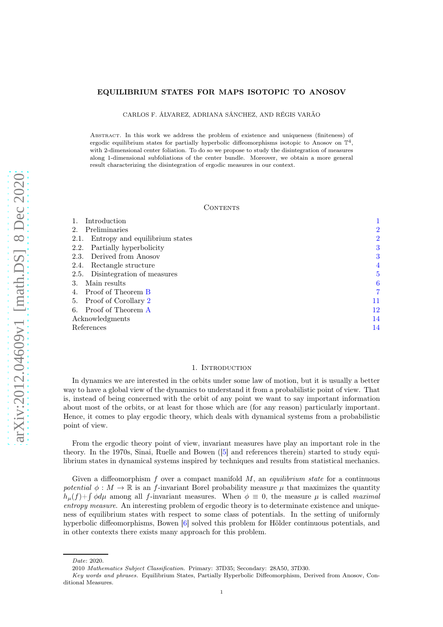## EQUILIBRIUM STATES FOR MAPS ISOTOPIC TO ANOSOV

CARLOS F. ÁLVAREZ, ADRIANA SÁNCHEZ, AND RÉGIS VARÃO

Abstract. In this work we address the problem of existence and uniqueness (finiteness) of ergodic equilibrium states for partially hyperbolic diffeomorphisms isotopic to Anosov on  $\mathbb{T}^4$ , with 2-dimensional center foliation. To do so we propose to study the disintegration of measures along 1-dimensional subfoliations of the center bundle. Moreover, we obtain a more general result characterizing the disintegration of ergodic measures in our context.

## CONTENTS

| Introduction                           |                |
|----------------------------------------|----------------|
| Preliminaries<br>2.                    | 2              |
| Entropy and equilibrium states<br>2.1. | $\overline{2}$ |
| Partially hyperbolicity<br>2.2.        | 3              |
| 2.3. Derived from Anosov               | 3              |
| Rectangle structure<br>2.4.            | 4              |
| 2.5. Disintegration of measures        | 5              |
| Main results<br>3.                     | 6              |
| Proof of Theorem B                     | 7              |
| Proof of Corollary 2<br>5.             | 11             |
| 6. Proof of Theorem A                  | 12             |
| Acknowledgments                        | 14             |
| References                             | 14             |
|                                        |                |

#### 1. Introduction

<span id="page-0-0"></span>In dynamics we are interested in the orbits under some law of motion, but it is usually a better way to have a global view of the dynamics to understand it from a probabilistic point of view. That is, instead of being concerned with the orbit of any point we want to say important information about most of the orbits, or at least for those which are (for any reason) particularly important. Hence, it comes to play ergodic theory, which deals with dynamical systems from a probabilistic point of view.

From the ergodic theory point of view, invariant measures have play an important role in the theory. In the 1970s, Sinai, Ruelle and Bowen ([\[5\]](#page-14-0) and references therein) started to study equilibrium states in dynamical systems inspired by techniques and results from statistical mechanics.

Given a diffeomorphism f over a compact manifold  $M$ , an *equilibrium state* for a continuous potential  $\phi : M \to \mathbb{R}$  is an f-invariant Borel probability measure  $\mu$  that maximizes the quantity  $h_{\mu}(f) + \int \phi d\mu$  among all f-invariant measures. When  $\phi = 0$ , the measure  $\mu$  is called maximal entropy measure. An interesting problem of ergodic theory is to determinate existence and uniqueness of equilibrium states with respect to some class of potentials. In the setting of uniformly hyperbolic diffeomorphisms, Bowen [\[6\]](#page-14-1) solved this problem for Hölder continuous potentials, and in other contexts there exists many approach for this problem.

Date: 2020.

<sup>2010</sup> Mathematics Subject Classification. Primary: 37D35; Secondary: 28A50, 37D30.

Key words and phrases. Equilibrium States, Partially Hyperbolic Diffeomorphism, Derived from Anosov, Conditional Measures.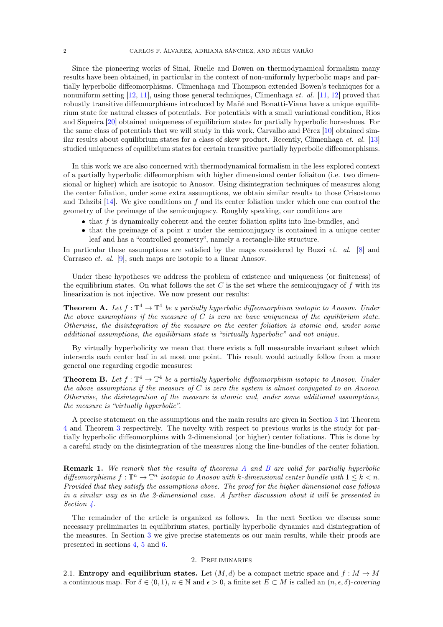Since the pioneering works of Sinai, Ruelle and Bowen on thermodynamical formalism many results have been obtained, in particular in the context of non-uniformly hyperbolic maps and partially hyperbolic diffeomorphisms. Climenhaga and Thompson extended Bowen's techniques for a nonuniform setting  $[12, 11]$  $[12, 11]$ , using those general techniques, Climenhaga *et. al.*  $[11, 12]$  $[11, 12]$  $[11, 12]$  proved that robustly transitive diffeomorphisms introduced by Mañé and Bonatti-Viana have a unique equilibrium state for natural classes of potentials. For potentials with a small variational condition, Rios and Siqueira [\[20\]](#page-14-4) obtained uniqueness of equilibrium states for partially hyperbolic horseshoes. For the same class of potentials that we will study in this work, Carvalho and Pérez [\[10\]](#page-14-5) obtained similar results about equilibrium states for a class of skew product. Recently, Climenhaga et. al. [\[13\]](#page-14-6) studied uniqueness of equilibrium states for certain transitive partially hyperbolic diffeomorphisms.

In this work we are also concerned with thermodynamical formalism in the less explored context of a partially hyperbolic diffeomorphism with higher dimensional center foliaiton (i.e. two dimensional or higher) which are isotopic to Anosov. Using disintegration techniques of measures along the center foliation, under some extra assumptions, we obtain similar results to those Crisostomo and Tahzibi  $[14]$ . We give conditions on f and its center foliation under which one can control the geometry of the preimage of the semiconjugacy. Roughly speaking, our conditions are

- that f is dynamically coherent and the center foliation splits into line-bundles, and
- $\bullet$  that the preimage of a point x under the semiconjugacy is contained in a unique center leaf and has a "controlled geometry", namely a rectangle-like structure.

In particular these assumptions are satisfied by the maps considered by Buzzi *et. al.* [\[8\]](#page-14-8) and Carrasco et. al. [\[9\]](#page-14-9), such maps are isotopic to a linear Anosov.

Under these hypotheses we address the problem of existence and uniqueness (or finiteness) of the equilibrium states. On what follows the set C is the set where the semiconjugacy of f with its linearization is not injective. We now present our results:

<span id="page-1-3"></span>**Theorem A.** Let  $f: \mathbb{T}^4 \to \mathbb{T}^4$  be a partially hyperbolic diffeomorphism isotopic to Anosov. Under the above assumptions if the measure of  $C$  is zero we have uniqueness of the equilibrium state. Otherwise, the disintegration of the measure on the center foliation is atomic and, under some additional assumptions, the equilibrium state is "virtually hyperbolic" and not unique.

By virtually hyperbolicity we mean that there exists a full measurable invariant subset which intersects each center leaf in at most one point. This result would actually follow from a more general one regarding ergodic measures:

<span id="page-1-2"></span>**Theorem B.** Let  $f: \mathbb{T}^4 \to \mathbb{T}^4$  be a partially hyperbolic diffeomorphism isotopic to Anosov. Under the above assumptions if the measure of  $C$  is zero the system is almost conjugated to an Anosov. Otherwise, the disintegration of the measure is atomic and, under some additional assumptions, the measure is "virtually hyperbolic".

A precise statement on the assumptions and the main results are given in Section [3](#page-5-0) int Theorem [4](#page-5-2) and Theorem [3](#page-5-3) respectively. The novelty with respect to previous works is the study for partially hyperbolic diffeomorphims with 2-dimensional (or higher) center foliations. This is done by a careful study on the disintegration of the measures along the line-bundles of the center foliation.

**Remark 1.** We remark that the results of theorems [A](#page-1-3) and [B](#page-1-2) are valid for partially hyperbolic diffeomorphisms  $f: \mathbb{T}^n \to \mathbb{T}^n$  isotopic to Anosov with k-dimensional center bundle with  $1 \leq k < n$ . Provided that they satisfy the assumptions above. The proof for the higher dimensional case follows in a similar way as in the 2-dimensional case. A further discussion about it will be presented in Section [4.](#page-6-0)

The remainder of the article is organized as follows. In the next Section we discuss some necessary preliminaries in equilibrium states, partially hyperbolic dynamics and disintegration of the measures. In Section [3](#page-5-0) we give precise statements os our main results, while their proofs are presented in sections [4,](#page-6-0) [5](#page-10-0) and [6.](#page-11-0)

## 2. Preliminaries

<span id="page-1-1"></span><span id="page-1-0"></span>2.1. **Entropy and equilibrium states.** Let  $(M, d)$  be a compact metric space and  $f : M \to M$ a continuous map. For  $\delta \in (0,1), n \in \mathbb{N}$  and  $\epsilon > 0$ , a finite set  $E \subset M$  is called an  $(n, \epsilon, \delta)$ -covering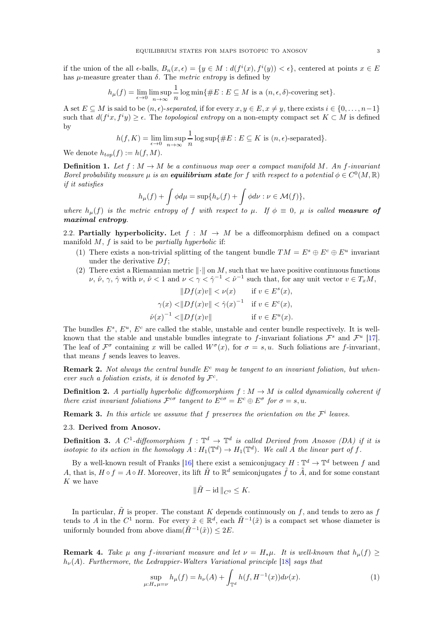if the union of the all  $\epsilon$ -balls,  $B_n(x, \epsilon) = \{y \in M : d(f^i(x), f^i(y)) < \epsilon\}$ , centered at points  $x \in E$ has  $\mu$ -measure greater than  $\delta$ . The *metric entropy* is defined by

$$
h_{\mu}(f) = \lim_{\epsilon \to 0} \limsup_{n \to \infty} \frac{1}{n} \log \min\{\#E : E \subseteq M \text{ is a } (n, \epsilon, \delta)\text{-covering set}\}.
$$

A set  $E \subseteq M$  is said to be  $(n, \epsilon)$ -separated, if for every  $x, y \in E, x \neq y$ , there exists  $i \in \{0, \ldots, n-1\}$ such that  $d(f^ix, f^iy) \ge \epsilon$ . The topological entropy on a non-empty compact set  $K \subset M$  is defined by

$$
h(f, K) = \lim_{\epsilon \to 0} \limsup_{n \to \infty} \frac{1}{n} \log \sup \{ \#E : E \subseteq K \text{ is } (n, \epsilon) \text{-separated} \}.
$$

We denote  $h_{top}(f) := h(f, M)$ .

**Definition 1.** Let  $f : M \to M$  be a continuous map over a compact manifold M. An f-invariant Borel probability measure  $\mu$  is an **equilibrium state** for f with respect to a potential  $\phi \in C^0(M, \mathbb{R})$ if it satisfies

$$
h_{\mu}(f) + \int \phi d\mu = \sup \{ h_{\nu}(f) + \int \phi d\nu : \nu \in \mathcal{M}(f) \},
$$

where  $h_\mu(f)$  is the metric entropy of f with respect to  $\mu$ . If  $\phi \equiv 0$ ,  $\mu$  is called **measure of** maximal entropy.

<span id="page-2-0"></span>2.2. Partially hyperbolicity. Let  $f : M \to M$  be a diffeomorphism defined on a compact manifold  $M$ ,  $f$  is said to be *partially hyperbolic* if:

- (1) There exists a non-trivial splitting of the tangent bundle  $TM = E^s \oplus E^c \oplus E^u$  invariant under the derivative  $Df$ :
- (2) There exist a Riemannian metric  $\|\cdot\|$  on M, such that we have positive continuous functions  $\nu, \hat{\nu}, \gamma, \hat{\gamma}$  with  $\nu, \hat{\nu} < 1$  and  $\nu < \gamma < \hat{\gamma}^{-1} < \hat{\nu}^{-1}$  such that, for any unit vector  $v \in T_xM$ ,

$$
||Df(x)v|| < \nu(x) \quad \text{if } v \in E^s(x),
$$
  
\n
$$
\gamma(x) < ||Df(x)v|| < \hat{\gamma}(x)^{-1} \quad \text{if } v \in E^c(x),
$$
  
\n
$$
\hat{\nu}(x)^{-1} < ||Df(x)v|| \quad \text{if } v \in E^u(x).
$$

The bundles  $E^s$ ,  $E^u$ ,  $E^c$  are called the stable, unstable and center bundle respectively. It is wellknown that the stable and unstable bundles integrate to f-invariant foliations  $\mathcal{F}^s$  and  $\mathcal{F}^u$  [\[17\]](#page-14-10). The leaf of  $\mathcal{F}^{\sigma}$  containing x will be called  $W^{\sigma}(x)$ , for  $\sigma = s, u$ . Such foliations are f-invariant, that means  $f$  sends leaves to leaves.

**Remark 2.** Not always the central bundle  $E<sup>c</sup>$  may be tangent to an invariant foliation, but whenever such a foliation exists, it is denoted by  $\mathcal{F}^c$ .

**Definition 2.** A partially hyperbolic diffeomorphism  $f : M \to M$  is called dynamically coherent if there exist invariant foliations  $\mathcal{F}^{c\sigma}$  tangent to  $E^{c\sigma} = E^c \oplus E^{\sigma}$  for  $\sigma = s, u$ .

<span id="page-2-1"></span>**Remark 3.** In this article we assume that f preserves the orientation on the  $\mathcal{F}^i$  leaves.

2.3. Derived from Anosov.

**Definition 3.** A C<sup>1</sup>-diffeomorphism  $f : \mathbb{T}^d \to \mathbb{T}^d$  is called Derived from Anosov (DA) if it is isotopic to its action in the homology  $A: H_1(\mathbb{T}^d) \to H_1(\mathbb{T}^d)$ . We call A the linear part of f.

By a well-known result of Franks [\[16\]](#page-14-11) there exist a semiconjugacy  $H: \mathbb{T}^d \to \mathbb{T}^d$  between f and A, that is,  $H \circ f = A \circ H$ . Moreover, its lift  $\tilde{H}$  to  $\mathbb{R}^d$  semiconjugates  $\tilde{f}$  to  $\tilde{A}$ , and for some constant  $K$  we have

$$
\|\tilde{H} - \mathrm{id}\,\|_{C^0} \leq K.
$$

In particular,  $\tilde{H}$  is proper. The constant K depends continuously on f, and tends to zero as f tends to A in the  $C^1$  norm. For every  $\tilde{x} \in \mathbb{R}^d$ , each  $\tilde{H}^{-1}(\tilde{x})$  is a compact set whose diameter is uniformly bounded from above diam $(\tilde{H}^{-1}(\tilde{x})) \leq 2E$ .

**Remark 4.** Take  $\mu$  any f-invariant measure and let  $\nu = H_*\mu$ . It is well-known that  $h_{\mu}(f)$  $h_{\nu}(A)$ . Furthermore, the Ledrappier-Walters Variational principle [\[18\]](#page-14-12) says that

$$
\sup_{\mu: H_*\mu=\nu} h_{\mu}(f) = h_{\nu}(A) + \int_{\mathbb{T}^d} h(f, H^{-1}(x)) d\nu(x). \tag{1}
$$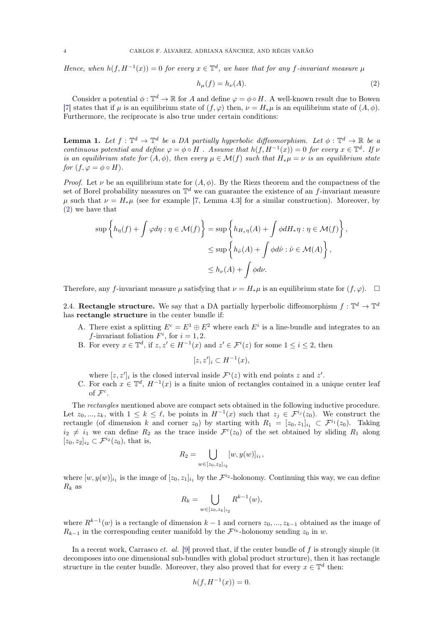Hence, when  $h(f, H^{-1}(x)) = 0$  for every  $x \in \mathbb{T}^d$ , we have that for any f-invariant measure  $\mu$ 

<span id="page-3-1"></span>
$$
h_{\mu}(f) = h_{\nu}(A). \tag{2}
$$

Consider a potential  $\phi: \mathbb{T}^d \to \mathbb{R}$  for A and define  $\varphi = \phi \circ H$ . A well-known result due to Bowen [\[7\]](#page-14-13) states that if  $\mu$  is an equilibrium state of  $(f, \varphi)$  then,  $\nu = H_*\mu$  is an equilibrium state of  $(A, \varphi)$ . Furthermore, the reciprocate is also true under certain conditions:

<span id="page-3-2"></span>**Lemma 1.** Let  $f: \mathbb{T}^d \to \mathbb{T}^d$  be a DA partially hyperbolic diffeomorphism. Let  $\phi: \mathbb{T}^d \to \mathbb{R}$  be a continuous potential and define  $\varphi = \phi \circ H$ . Assume that  $h(f, H^{-1}(x)) = 0$  for every  $x \in \mathbb{T}^d$ . If  $\nu$ is an equilibrium state for  $(A, \phi)$ , then every  $\mu \in \mathcal{M}(f)$  such that  $H_*\mu = \nu$  is an equilibrium state for  $(f, \varphi = \phi \circ H)$ .

*Proof.* Let  $\nu$  be an equilibrium state for  $(A, \phi)$ . By the Riezs theorem and the compactness of the set of Borel probability measures on  $\mathbb{T}^d$  we can guarantee the existence of an f-invariant measure u such that  $\nu = H_{\ast}\mu$  (see for example [\[7,](#page-14-13) Lemma 4.3] for a similar construction). Moreover, by [\(2\)](#page-3-1) we have that

$$
\sup \left\{ h_{\eta}(f) + \int \varphi d\eta : \eta \in \mathcal{M}(f) \right\} = \sup \left\{ h_{H_{*}\eta}(A) + \int \phi dH_{*}\eta : \eta \in \mathcal{M}(f) \right\},
$$
  

$$
\leq \sup \left\{ h_{\hat{\nu}}(A) + \int \phi d\hat{\nu} : \hat{\nu} \in \mathcal{M}(A) \right\},
$$
  

$$
\leq h_{\nu}(A) + \int \phi d\nu.
$$

Therefore, any f-invariant measure  $\mu$  satisfying that  $\nu = H_*\mu$  is an equilibrium state for  $(f, \varphi)$ .  $\Box$ 

<span id="page-3-0"></span>2.4. Rectangle structure. We say that a DA partially hyperbolic diffeomorphism  $f: \mathbb{T}^d \to \mathbb{T}^d$ has rectangle structure in the center bundle if:

- A. There exist a splitting  $E^c = E^1 \oplus E^2$  where each  $E^i$  is a line-bundle and integrates to an f-invariant foliation  $F^i$ , for  $i = 1, 2$ .
- <span id="page-3-3"></span>B. For every  $x \in \mathbb{T}^d$ , if  $z, z' \in H^{-1}(x)$  and  $z' \in \mathcal{F}^i(z)$  for some  $1 \leq i \leq 2$ , then

$$
[z, z']_i \subset H^{-1}(x),
$$

where  $[z, z']_i$  is the closed interval inside  $\mathcal{F}^i(z)$  with end points z and z'.

C. For each  $x \in \mathbb{T}^d$ ,  $H^{-1}(x)$  is a finite union of rectangles contained in a unique center leaf of  $\mathcal{F}^c$ .

The *rectangles* mentioned above are compact sets obtained in the following inductive procedure. Let  $z_0, ..., z_k$ , with  $1 \leq k \leq \ell$ , be points in  $H^{-1}(x)$  such that  $z_j \in \mathcal{F}^{i_j}(z_0)$ . We construct the rectangle (of dimension k and corner  $z_0$ ) by starting with  $R_1 = [z_0, z_1]_{i_1} \subset \mathcal{F}^{i_1}(z_0)$ . Taking  $i_2 \neq i_1$  we can define  $R_2$  as the trace inside  $\mathcal{F}^c(z_0)$  of the set obtained by sliding  $R_1$  along  $[z_0, z_2]_{i_2} \subset \mathcal{F}^{i_2}(z_0)$ , that is,

$$
R_2 = \bigcup_{w \in [z_0, z_2]_{i_2}} [w, y(w)]_{i_1},
$$

where  $[w, y(w)]_{i_1}$  is the image of  $[z_0, z_1]_{i_1}$  by the  $\mathcal{F}^{i_2}$ -holonomy. Continuing this way, we can define  $R_k$  as

$$
R_k = \bigcup_{w \in [z_0, z_k]_{i_2}} R^{k-1}(w),
$$

where  $R^{k-1}(w)$  is a rectangle of dimension  $k-1$  and corners  $z_0, ..., z_{k-1}$  obtained as the image of  $R_{k-1}$  in the corresponding center manifold by the  $\mathcal{F}^{i_k}$ -holonomy sending  $z_0$  in w.

In a recent work, Carrasco *et. al.* [\[9\]](#page-14-9) proved that, if the center bundle of f is strongly simple (it decomposes into one dimensional sub-bundles with global product structure), then it has rectangle structure in the center bundle. Moreover, they also proved that for every  $x \in \mathbb{T}^d$  then:

$$
h(f, H^{-1}(x)) = 0.
$$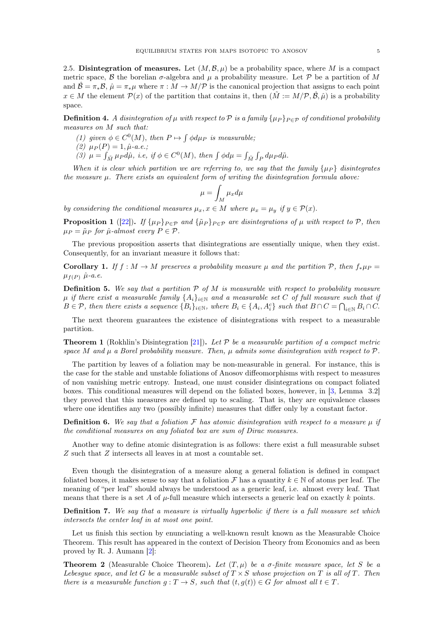<span id="page-4-0"></span>2.5. Disintegration of measures. Let  $(M, \mathcal{B}, \mu)$  be a probability space, where M is a compact metric space, B the borelian  $\sigma$ -algebra and  $\mu$  a probability measure. Let P be a partition of M and  $\hat{\mathcal{B}} = \pi_* \mathcal{B}, \hat{\mu} = \pi_* \mu$  where  $\pi : M \to M/\mathcal{P}$  is the canonical projection that assigns to each point  $x \in M$  the element  $\mathcal{P}(x)$  of the partition that contains it, then  $(\tilde{M} := M/\mathcal{P}, \hat{\mathcal{B}}, \hat{\mu})$  is a probability space.

**Definition 4.** A disintegration of  $\mu$  with respect to P is a family  $\{\mu_P\}_{P \in \mathcal{P}}$  of conditional probability measures on M such that:

- (1) given  $\phi \in C^0(M)$ , then  $P \mapsto \int \phi d\mu_P$  is measurable;
- (2)  $\mu_P(P) = 1, \hat{\mu}$ -a.e.;
- (3)  $\mu = \int_{\tilde{M}} \mu_P d\hat{\mu}$ , i.e, if  $\phi \in C^0(M)$ , then  $\int \phi d\mu = \int_{\tilde{M}} \int_P d\mu_P d\tilde{\mu}$ .

When it is clear which partition we are referring to, we say that the family  $\{\mu_P\}$  disintegrates the measure  $\mu$ . There exists an equivalent form of writing the disintegration formula above:

$$
\mu = \int_M \mu_x d\mu
$$

by considering the conditional measures  $\mu_x, x \in M$  where  $\mu_x = \mu_y$  if  $y \in \mathcal{P}(x)$ .

**Proposition 1** ([\[22\]](#page-14-14)). If  $\{\mu_P\}_{P \in \mathcal{P}}$  and  $\{\tilde{\mu}_P\}_{P \in \mathcal{P}}$  are disintegrations of  $\mu$  with respect to  $\mathcal{P}$ , then  $\mu_P = \tilde{\mu}_P$  for  $\hat{\mu}$ -almost every  $P \in \mathcal{P}$ .

The previous proposition asserts that disintegrations are essentially unique, when they exist. Consequently, for an invariant measure it follows that:

**Corollary 1.** If  $f : M \to M$  preserves a probability measure  $\mu$  and the partition P, then  $f_*\mu_P =$  $\mu_{f(P)}$   $\hat{\mu}$ -a.e.

**Definition 5.** We say that a partition  $P$  of M is measurable with respect to probability measure  $\mu$  if there exist a measurable family  $\{A_i\}_{i\in\mathbb{N}}$  and a measurable set C of full measure such that if  $B \in \mathcal{P}$ , then there exists a sequence  $\{B_i\}_{i\in\mathbb{N}}$ , where  $B_i \in \{A_i, A_i^c\}$  such that  $B \cap C = \bigcap_{i\in\mathbb{N}} B_i \cap C$ .

The next theorem guarantees the existence of disintegrations with respect to a measurable partition.

**Theorem 1** (Rokhlin's Disintegration [\[21\]](#page-14-15)). Let  $P$  be a measurable partition of a compact metric space M and  $\mu$  a Borel probability measure. Then,  $\mu$  admits some disintegration with respect to P.

The partition by leaves of a foliation may be non-measurable in general. For instance, this is the case for the stable and unstable foliations of Anosov diffeomorphisms with respect to measures of non vanishing metric entropy. Instead, one must consider disintegrations on compact foliated boxes. This conditional measures will depend on the foliated boxes, however, in [\[3,](#page-14-16) Lemma 3.2] they proved that this measures are defined up to scaling. That is, they are equivalence classes where one identifies any two (possibly infinite) measures that differ only by a constant factor.

**Definition 6.** We say that a foliation  $\mathcal F$  has atomic disintegration with respect to a measure  $\mu$  if the conditional measures on any foliated box are sum of Dirac measures.

Another way to define atomic disintegration is as follows: there exist a full measurable subset Z such that Z intersects all leaves in at most a countable set.

Even though the disintegration of a measure along a general foliation is defined in compact foliated boxes, it makes sense to say that a foliation F has a quantity  $k \in \mathbb{N}$  of atoms per leaf. The meaning of "per leaf" should always be understood as a generic leaf, i.e. almost every leaf. That means that there is a set A of  $\mu$ -full measure which intersects a generic leaf on exactly k points.

**Definition 7.** We say that a measure is virtually hyperbolic if there is a full measure set which intersects the center leaf in at most one point.

Let us finish this section by enunciating a well-known result known as the Measurable Choice Theorem. This result has appeared in the context of Decision Theory from Economics and as been proved by R. J. Aumann [\[2\]](#page-13-2):

<span id="page-4-1"></span>**Theorem 2** (Measurable Choice Theorem). Let  $(T, \mu)$  be a  $\sigma$ -finite measure space, let S be a Lebesgue space, and let G be a measurable subset of  $T \times S$  whose projection on T is all of T. Then there is a measurable function  $g: T \to S$ , such that  $(t, g(t)) \in G$  for almost all  $t \in T$ .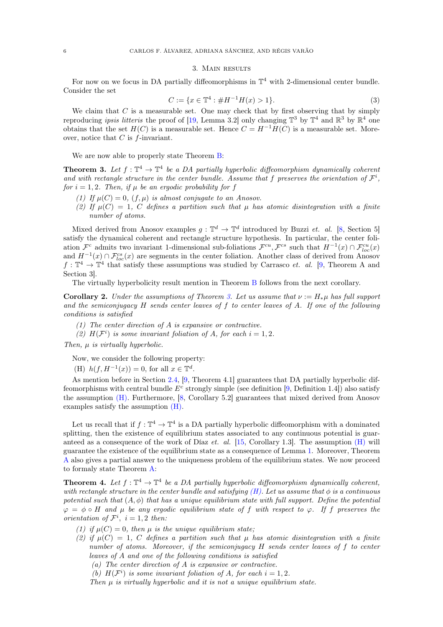## 3. Main results

<span id="page-5-0"></span>For now on we focus in DA partially diffeomorphisms in  $\mathbb{T}^4$  with 2-dimensional center bundle. Consider the set

$$
C := \{ x \in \mathbb{T}^4 : \#H^{-1}H(x) > 1 \}. \tag{3}
$$

We claim that  $C$  is a measurable set. One may check that by first observing that by simply reproducing *ipsis litteris* the proof of [\[19,](#page-14-17) Lemma 3.2] only changing  $\mathbb{T}^3$  by  $\mathbb{T}^4$  and  $\mathbb{R}^3$  by  $\mathbb{R}^4$  one obtains that the set  $H(C)$  is a measurable set. Hence  $C = H^{-1}H(C)$  is a measurable set. Moreover, notice that  $C$  is  $f$ -invariant.

We are now able to properly state Theorem [B:](#page-1-2)

<span id="page-5-3"></span>**Theorem 3.** Let  $f: \mathbb{T}^4 \to \mathbb{T}^4$  be a DA partially hyperbolic diffeomorphism dynamically coherent and with rectangle structure in the center bundle. Assume that f preserves the orientation of  $\mathcal{F}^i$ , for  $i = 1, 2$ . Then, if  $\mu$  be an ergodic probability for f

- (1) If  $\mu(C) = 0$ ,  $(f, \mu)$  is almost conjugate to an Anosov.
- (2) If  $\mu(C) = 1$ , C defines a partition such that  $\mu$  has atomic disintegration with a finite number of atoms.

Mixed derived from Anosov examples  $g: \mathbb{T}^d \to \mathbb{T}^d$  introduced by Buzzi *et. al.* [\[8,](#page-14-8) Section 5] satisfy the dynamical coherent and rectangle structure hypothesis. In particular, the center foliation  $\mathcal{F}^c$  admits two invariant 1-dimensional sub-foliations  $\mathcal{F}^{cu}, \mathcal{F}^{cs}$  such that  $H^{-1}(x) \cap \mathcal{F}_{loc}^{cu}(x)$ and  $H^{-1}(x) \cap \mathcal{F}_{loc}^{cs}(x)$  are segments in the center foliation. Another class of derived from Anosov  $f: \mathbb{T}^4 \to \mathbb{T}^4$  that satisfy these assumptions was studied by Carrasco *et. al.* [\[9,](#page-14-9) Theorem A and Section 3].

The virtually hyperbolicity result mention in Theorem [B](#page-1-2) follows from the next corollary.

<span id="page-5-1"></span>**Corollary 2.** Under the assumptions of Theorem [3.](#page-5-3) Let us assume that  $\nu := H_{\ast}\mu$  has full support and the semiconjugacy  $H$  sends center leaves of  $f$  to center leaves of  $A$ . If one of the following conditions is satisfied

- <span id="page-5-6"></span><span id="page-5-5"></span>(1) The center direction of A is expansive or contractive.
- (2)  $H(F^i)$  is some invariant foliation of A, for each  $i = 1, 2$ .

Then,  $\mu$  is virtually hyperbolic.

<span id="page-5-4"></span>Now, we consider the following property:

(H)  $h(f, H^{-1}(x)) = 0$ , for all  $x \in \mathbb{T}^d$ .

As mention before in Section [2.4,](#page-3-0) [\[9,](#page-14-9) Theorem 4.1] guarantees that DA partially hyperbolic diffeomorphisms with central bundle  $E^c$  strongly simple (see definition [\[9,](#page-14-9) Definition 1.4]) also satisfy the assumption [\(H\).](#page-5-4) Furthermore, [\[8,](#page-14-8) Corollary 5.2] guarantees that mixed derived from Anosov examples satisfy the assumption [\(H\).](#page-5-4)

Let us recall that if  $f: \mathbb{T}^4 \to \mathbb{T}^4$  is a DA partially hyperbolic diffeomorphism with a dominated splitting, then the existence of equilibrium states associated to any continuous potential is guaranteed as a consequence of the work of Díaz *et. al.* [\[15,](#page-14-18) Corollary 1.3]. The assumption  $(H)$  will guarantee the existence of the equilibrium state as a consequence of Lemma [1.](#page-3-2) Moreover, Theorem [A](#page-1-3) also gives a partial answer to the uniqueness problem of the equilibrium states. We now proceed to formaly state Theorem [A:](#page-1-3)

<span id="page-5-2"></span>**Theorem 4.** Let  $f: \mathbb{T}^4 \to \mathbb{T}^4$  be a DA partially hyperbolic diffeomorphism dynamically coherent, with rectangle structure in the center bundle and satisfying  $(H)$ . Let us assume that  $\phi$  is a continuous potential such that  $(A, \phi)$  that has a unique equilibrium state with full support. Define the potential  $\varphi = \varphi \circ H$  and  $\mu$  be any ergodic equilibrium state of f with respect to  $\varphi$ . If f preserves the orientation of  $\mathcal{F}^i$ ,  $i=1,2$  then:

- (1) if  $\mu(C) = 0$ , then  $\mu$  is the unique equilibrium state;
- (2) if  $\mu(C) = 1$ , C defines a partition such that  $\mu$  has atomic disintegration with a finite number of atoms. Moreover, if the semiconjugacy H sends center leaves of f to center leaves of A and one of the following conditions is satisfied
	- (a) The center direction of A is expansive or contractive.
	- (b)  $H(\mathcal{F}^i)$  is some invariant foliation of A, for each  $i = 1, 2$ .

<span id="page-5-7"></span>Then  $\mu$  is virtually hyperbolic and it is not a unique equilibrium state.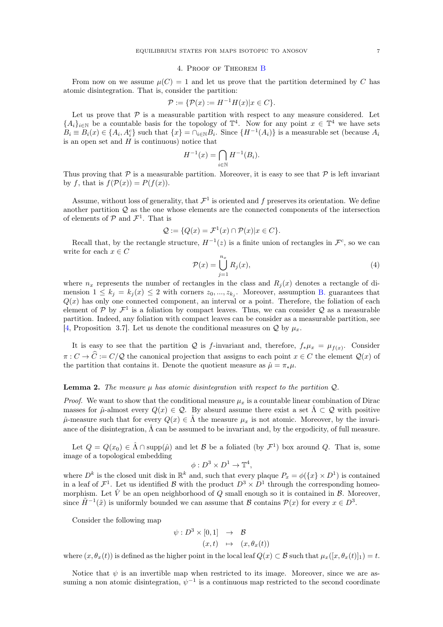### 4. Proof of Theorem [B](#page-1-2)

<span id="page-6-0"></span>From now on we assume  $\mu(C) = 1$  and let us prove that the partition determined by C has atomic disintegration. That is, consider the partition:

$$
\mathcal{P} := \{ \mathcal{P}(x) := H^{-1}H(x) | x \in C \}.
$$

Let us prove that  $P$  is a measurable partition with respect to any measure considered. Let  ${A_i}_{i\in\mathbb{N}}$  be a countable basis for the topology of  $\mathbb{T}^4$ . Now for any point  $x \in \mathbb{T}^4$  we have sets  $B_i \equiv B_i(x) \in \{A_i, A_i^c\}$  such that  $\{x\} = \bigcap_{i \in \mathbb{N}} B_i$ . Since  $\{H^{-1}(A_i)\}$  is a measurable set (because  $A_i$ is an open set and  $H$  is continuous) notice that

$$
H^{-1}(x) = \bigcap_{i \in \mathbb{N}} H^{-1}(B_i).
$$

Thus proving that  $\mathcal P$  is a measurable partition. Moreover, it is easy to see that  $\mathcal P$  is left invariant by f, that is  $f(\mathcal{P}(x)) = P(f(x)).$ 

Assume, without loss of generality, that  $\mathcal{F}^1$  is oriented and f preserves its orientation. We define another partition  $\mathcal Q$  as the one whose elements are the connected components of the intersection of elements of  $P$  and  $\mathcal{F}^1$ . That is

$$
\mathcal{Q} := \{ Q(x) = \mathcal{F}^1(x) \cap \mathcal{P}(x) | x \in C \}.
$$

Recall that, by the rectangle structure,  $H^{-1}(z)$  is a finite union of rectangles in  $\mathcal{F}^c$ , so we can write for each  $x \in C$ 

<span id="page-6-1"></span>
$$
\mathcal{P}(x) = \bigcup_{j=1}^{n_x} R_j(x),\tag{4}
$$

where  $n_x$  represents the number of rectangles in the class and  $R_i(x)$  denotes a rectangle of dimension  $1 \leq k_j = k_j(x) \leq 2$  with corners  $z_0, ..., z_{k_j}$ . Moreover, assumption [B.](#page-3-3) guarantees that  $Q(x)$  has only one connected component, an interval or a point. Therefore, the foliation of each element of  $P$  by  $\mathcal{F}^1$  is a foliation by compact leaves. Thus, we can consider  $Q$  as a measurable partition. Indeed, any foliation with compact leaves can be consider as a measurable partition, see [\[4,](#page-14-19) Proposition 3.7]. Let us denote the conditional measures on Q by  $\mu_x$ .

It is easy to see that the partition Q is f-invariant and, therefore,  $f_*\mu_x = \mu_{f(x)}$ . Consider  $\pi: C \to \widehat{C} := C/\mathcal{Q}$  the canonical projection that assigns to each point  $x \in C$  the element  $\mathcal{Q}(x)$  of the partition that contains it. Denote the quotient measure as  $\hat{\mu} = \pi_* \mu$ .

## **Lemma 2.** The measure  $\mu$  has atomic disintegration with respect to the partition  $Q$ .

*Proof.* We want to show that the conditional measure  $\mu_x$  is a countable linear combination of Dirac masses for  $\hat{\mu}$ -almost every  $Q(x) \in \mathcal{Q}$ . By absurd assume there exist a set  $\hat{\Lambda} \subset \mathcal{Q}$  with positive  $\hat{\mu}$ -measure such that for every  $Q(x) \in \hat{\Lambda}$  the measure  $\mu_x$  is not atomic. Moreover, by the invariance of the disintegration,  $\hat{\Lambda}$  can be assumed to be invariant and, by the ergodicity, of full measure.

Let  $Q = Q(x_0) \in \hat{\Lambda} \cap \text{supp}(\hat{\mu})$  and let  $\mathcal{B}$  be a foliated (by  $\mathcal{F}^1$ ) box around  $Q$ . That is, some image of a topological embedding

$$
\phi: D^3 \times D^1 \to \mathbb{T}^4,
$$

where  $D^k$  is the closed unit disk in  $\mathbb{R}^k$  and, such that every plaque  $P_x = \phi({x} \times D^1)$  is contained in a leaf of  $\mathcal{F}^1$ . Let us identified B with the product  $D^3 \times D^1$  through the corresponding homeomorphism. Let  $\hat{V}$  be an open neighborhood of Q small enough so it is contained in  $\beta$ . Moreover, since  $\tilde{H}^{-1}(\tilde{x})$  is uniformly bounded we can assume that B contains  $\mathcal{P}(x)$  for every  $x \in D^3$ .

Consider the following map

$$
\psi: D^3 \times [0,1] \rightarrow \mathcal{B}
$$
  

$$
(x,t) \mapsto (x,\theta_x(t))
$$

where  $(x, \theta_x(t))$  is defined as the higher point in the local leaf  $Q(x) \subset \mathcal{B}$  such that  $\mu_x([x, \theta_x(t)]_1) = t$ .

Notice that  $\psi$  is an invertible map when restricted to its image. Moreover, since we are assuming a non atomic disintegration,  $\psi^{-1}$  is a continuous map restricted to the second coordinate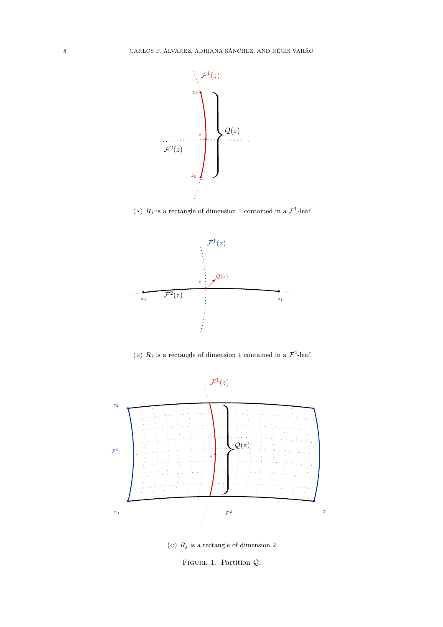<span id="page-7-0"></span>

(A)  $R_j$  is a rectangle of dimension 1 contained in a  $\mathcal{F}^1$ -leaf



(B)  $R_j$  is a rectangle of dimension 1 contained in a  $\mathcal{F}^2$ -leaf



(c)  $R_j$  is a rectangle of dimension 2

FIGURE 1. Partition  $Q$ .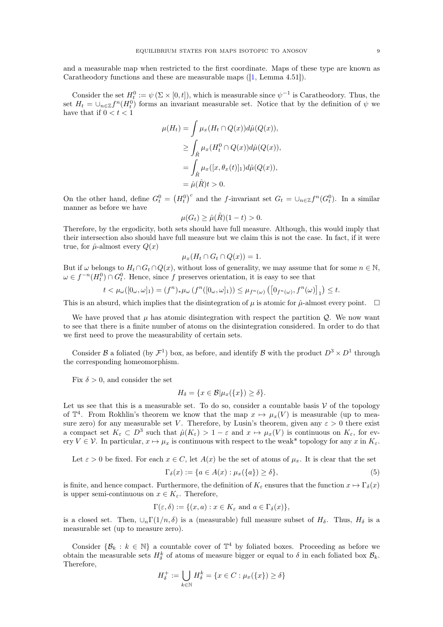and a measurable map when restricted to the first coordinate. Maps of these type are known as Caratheodory functions and these are measurable maps ([\[1,](#page-13-3) Lemma 4.51]).

Consider the set  $H_t^0 := \psi(\Sigma \times [0, t])$ , which is measurable since  $\psi^{-1}$  is Caratheodory. Thus, the set  $H_t = \bigcup_{n \in \mathbb{Z}} f^n(H_t^0)$  forms an invariant measurable set. Notice that by the definition of  $\psi$  we have that if  $0 < t < 1$ 

$$
\mu(H_t) = \int \mu_x(H_t \cap Q(x)) d\hat{\mu}(Q(x)),
$$
  
\n
$$
\geq \int_{\hat{R}} \mu_x(H_t^0 \cap Q(x)) d\hat{\mu}(Q(x)),
$$
  
\n
$$
= \int_{\hat{R}} \mu_x([x, \theta_x(t)]_1) d\hat{\mu}(Q(x)),
$$
  
\n
$$
= \hat{\mu}(\hat{R})t > 0.
$$

On the other hand, define  $G_t^0 = (H_t^0)^c$  and the f-invariant set  $G_t = \bigcup_{n \in \mathbb{Z}} f^n(G_t^0)$ . In a similar manner as before we have

$$
\mu(G_t) \ge \hat{\mu}(\hat{R})(1-t) > 0.
$$

Therefore, by the ergodicity, both sets should have full measure. Although, this would imply that their intersection also should have full measure but we claim this is not the case. In fact, if it were true, for  $\hat{\mu}$ -almost every  $Q(x)$ 

$$
\mu_x(H_t \cap G_t \cap Q(x)) = 1.
$$

But if  $\omega$  belongs to  $H_t \cap G_t \cap Q(x)$ , without loss of generality, we may assume that for some  $n \in \mathbb{N}$ ,  $\omega \in f^{-n}(H_t^0) \cap G_t^0$ . Hence, since f preserves orientation, it is easy to see that

$$
t<\mu_\omega([0_\omega,\omega]_1)=(f^n)_*\mu_\omega\left(f^n([0_\omega,\omega]_1)\right)\leq\mu_{f^n(\omega)}\left(\left[0_{f^n(\omega)},f^n(\omega)\right]_1\right)\leq t.
$$

This is an absurd, which implies that the disintegration of  $\mu$  is atomic for  $\hat{\mu}$ -almost every point.  $\Box$ 

We have proved that  $\mu$  has atomic disintegration with respect the partition  $\mathcal{Q}$ . We now want to see that there is a finite number of atoms on the disintegration considered. In order to do that we first need to prove the measurability of certain sets.

Consider B a foliated (by  $\mathcal{F}^1$ ) box, as before, and identify B with the product  $D^3 \times D^1$  through the corresponding homeomorphism.

Fix  $\delta > 0$ , and consider the set

$$
H_{\delta} = \{ x \in \mathcal{B} | \mu_x(\{x\}) \ge \delta \}.
$$

Let us see that this is a measurable set. To do so, consider a countable basis  $\mathcal V$  of the topology of  $\mathbb{T}^4$ . From Rokhlin's theorem we know that the map  $x \mapsto \mu_x(V)$  is measurable (up to measure zero) for any measurable set V. Therefore, by Lusin's theorem, given any  $\varepsilon > 0$  there exist a compact set  $K_{\varepsilon} \subset D^3$  such that  $\hat{\mu}(K_{\varepsilon}) > 1 - \varepsilon$  and  $x \mapsto \mu_x(V)$  is continuous on  $K_{\varepsilon}$ , for every  $V \in \mathcal{V}$ . In particular,  $x \mapsto \mu_x$  is continuous with respect to the weak\* topology for any x in  $K_{\varepsilon}$ .

Let  $\varepsilon > 0$  be fixed. For each  $x \in C$ , let  $A(x)$  be the set of atoms of  $\mu_x$ . It is clear that the set

<span id="page-8-0"></span>
$$
\Gamma_{\delta}(x) := \{ a \in A(x) : \mu_x(\{a\}) \ge \delta \},\tag{5}
$$

is finite, and hence compact. Furthermore, the definition of  $K_{\varepsilon}$  ensures that the function  $x \mapsto \Gamma_{\delta}(x)$ is upper semi-continuous on  $x \in K_{\varepsilon}$ . Therefore,

$$
\Gamma(\varepsilon,\delta) := \{(x,a) : x \in K_{\varepsilon} \text{ and } a \in \Gamma_{\delta}(x)\},\
$$

is a closed set. Then,  $\cup_n \Gamma(1/n, \delta)$  is a (measurable) full measure subset of  $H_\delta$ . Thus,  $H_\delta$  is a measurable set (up to measure zero).

Consider  $\{\mathcal{B}_k : k \in \mathbb{N}\}\$ a countable cover of  $\mathbb{T}^4$  by foliated boxes. Proceeding as before we obtain the measurable sets  $H_{\delta}^{k}$  of atoms of measure bigger or equal to  $\delta$  in each foliated box  $\mathcal{B}_{k}$ . Therefore,

$$
H_{\delta}^{+} := \bigcup_{k \in \mathbb{N}} H_{\delta}^{k} = \{ x \in C : \mu_{x}(\{x\}) \ge \delta \}
$$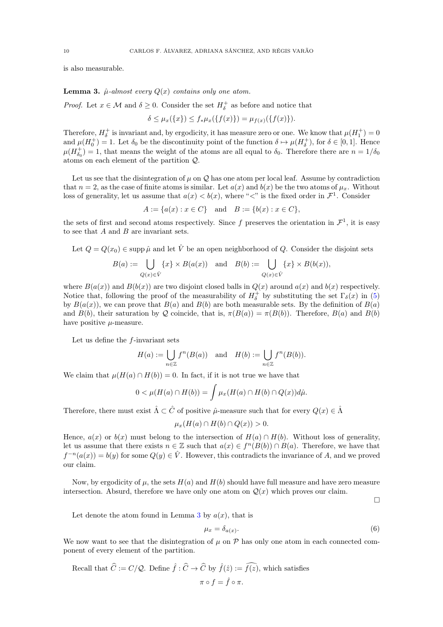is also measurable.

<span id="page-9-0"></span>**Lemma 3.**  $\hat{\mu}$ -almost every  $Q(x)$  contains only one atom.

*Proof.* Let  $x \in \mathcal{M}$  and  $\delta \geq 0$ . Consider the set  $H_{\delta}^{+}$  as before and notice that

$$
\delta \leq \mu_x(\{x\}) \leq f_*\mu_x(\{f(x)\}) = \mu_{f(x)}(\{f(x)\}).
$$

Therefore,  $H_{\delta}^+$  is invariant and, by ergodicity, it has measure zero or one. We know that  $\mu(H_1^+) = 0$ and  $\mu(H_0^+) = 1$ . Let  $\delta_0$  be the discontinuity point of the function  $\delta \mapsto \mu(H_\delta^+)$ , for  $\delta \in [0,1]$ . Hence  $\mu(H_{\delta_0}^+) = 1$ , that means the weight of the atoms are all equal to  $\delta_0$ . Therefore there are  $n = 1/\delta_0$ atoms on each element of the partition Q.

Let us see that the disintegration of  $\mu$  on  $\mathcal Q$  has one atom per local leaf. Assume by contradiction that  $n = 2$ , as the case of finite atoms is similar. Let  $a(x)$  and  $b(x)$  be the two atoms of  $\mu_x$ . Without loss of generality, let us assume that  $a(x) < b(x)$ , where "<" is the fixed order in  $\mathcal{F}^1$ . Consider

$$
A := \{a(x) : x \in C\} \text{ and } B := \{b(x) : x \in C\},\
$$

the sets of first and second atoms respectively. Since f preserves the orientation in  $\mathcal{F}^1$ , it is easy to see that  $A$  and  $B$  are invariant sets.

Let  $Q = Q(x_0) \in \text{supp }\hat{\mu}$  and let  $\hat{V}$  be an open neighborhood of Q. Consider the disjoint sets

$$
B(a) := \bigcup_{Q(x) \in \hat{V}} \{x\} \times B(a(x)) \quad \text{and} \quad B(b) := \bigcup_{Q(x) \in \hat{V}} \{x\} \times B(b(x)),
$$

where  $B(a(x))$  and  $B(b(x))$  are two disjoint closed balls in  $Q(x)$  around  $a(x)$  and  $b(x)$  respectively. Notice that, following the proof of the measurability of  $H_{\delta}^+$  by substituting the set  $\Gamma_{\delta}(x)$  in [\(5\)](#page-8-0) by  $B(a(x))$ , we can prove that  $B(a)$  and  $B(b)$  are both measurable sets. By the definition of  $B(a)$ and  $B(b)$ , their saturation by Q coincide, that is,  $\pi(B(a)) = \pi(B(b))$ . Therefore,  $B(a)$  and  $B(b)$ have positive  $\mu$ -measure.

Let us define the  $f$ -invariant sets

$$
H(a) := \bigcup_{n \in \mathbb{Z}} f^n(B(a)) \text{ and } H(b) := \bigcup_{n \in \mathbb{Z}} f^n(B(b)).
$$

We claim that  $\mu(H(a) \cap H(b)) = 0$ . In fact, if it is not true we have that

$$
0 < \mu(H(a) \cap H(b)) = \int \mu_x(H(a) \cap H(b) \cap Q(x))d\hat{\mu}.
$$

Therefore, there must exist  $\hat{\Lambda} \subset \hat{C}$  of positive  $\hat{\mu}$ -measure such that for every  $Q(x) \in \hat{\Lambda}$ 

$$
\mu_x(H(a) \cap H(b) \cap Q(x)) > 0.
$$

Hence,  $a(x)$  or  $b(x)$  must belong to the intersection of  $H(a) \cap H(b)$ . Without loss of generality, let us assume that there exists  $n \in \mathbb{Z}$  such that  $a(x) \in f^{n}(B(b)) \cap B(a)$ . Therefore, we have that  $f^{-n}(a(x)) = b(y)$  for some  $Q(y) \in \hat{V}$ . However, this contradicts the invariance of A, and we proved our claim.

Now, by ergodicity of  $\mu$ , the sets  $H(a)$  and  $H(b)$  should have full measure and have zero measure intersection. Absurd, therefore we have only one atom on  $Q(x)$  which proves our claim.

 $\Box$ 

Let denote the atom found in Lemma [3](#page-9-0) by  $a(x)$ , that is

<span id="page-9-1"></span>
$$
\mu_x = \delta_{a(x)}.\tag{6}
$$

We now want to see that the disintegration of  $\mu$  on  $\mathcal P$  has only one atom in each connected component of every element of the partition.

Recall that 
$$
\hat{C} := C/\mathcal{Q}
$$
. Define  $\hat{f} : \hat{C} \to \hat{C}$  by  $\hat{f}(\hat{z}) := \hat{f}(z)$ , which satisfies  
\n
$$
\pi \circ f = \hat{f} \circ \pi.
$$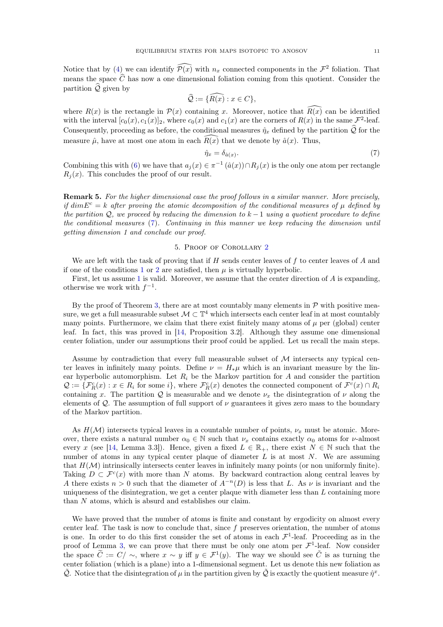Notice that by [\(4\)](#page-6-1) we can identify  $\widehat{\mathcal{P}(x)}$  with  $n_x$  connected components in the  $\mathcal{F}^2$  foliation. That means the space  $\widehat{C}$  has now a one dimensional foliation coming from this quotient. Consider the partition  $\widehat{\mathcal{Q}}$  given by

$$
\widehat{\mathcal{Q}}:=\{\widehat{R(x)}:x\in C\},
$$

where  $R(x)$  is the rectangle in  $\mathcal{P}(x)$  containing x. Moreover, notice that  $\widehat{R(x)}$  can be identified with the interval  $[c_0(x), c_1(x)]_2$ , where  $c_0(x)$  and  $c_1(x)$  are the corners of  $R(x)$  in the same  $\mathcal{F}^2$ -leaf. Consequently, proceeding as before, the conditional measures  $\hat{\eta}_x$  defined by the partition  $\hat{Q}$  for the measure  $\hat{\mu}$ , have at most one atom in each  $R(x)$  that we denote by  $\hat{a}(x)$ . Thus,

<span id="page-10-1"></span>
$$
\hat{\eta}_x = \delta_{\hat{a}(x)}.\tag{7}
$$

Combining this with [\(6\)](#page-9-1) we have that  $a_j(x) \in \pi^{-1}(\hat{a}(x)) \cap R_j(x)$  is the only one atom per rectangle  $R_i(x)$ . This concludes the proof of our result.

**Remark 5.** For the higher dimensional case the proof follows in a similar manner. More precisely, if dim $E^c = k$  after proving the atomic decomposition of the conditional measures of  $\mu$  defined by the partition  $\mathcal{Q}$ , we proceed by reducing the dimension to  $k-1$  using a quotient procedure to define the conditional measures [\(7\)](#page-10-1). Continuing in this manner we keep reducing the dimension until getting dimension 1 and conclude our proof.

# 5. Proof of Corollary [2](#page-5-1)

<span id="page-10-0"></span>We are left with the task of proving that if  $H$  sends center leaves of  $f$  to center leaves of  $A$  and if one of the conditions [1](#page-5-5) or [2](#page-5-6) are satisfied, then  $\mu$  is virtually hyperbolic.

First, let us assume [1](#page-5-5) is valid. Moreover, we assume that the center direction of  $\vec{A}$  is expanding, otherwise we work with  $f^{-1}$ .

By the proof of Theorem [3,](#page-5-3) there are at most countably many elements in  $P$  with positive measure, we get a full measurable subset  $\mathcal{M} \subset \mathbb{T}^4$  which intersects each center leaf in at most countably many points. Furthermore, we claim that there exist finitely many atoms of  $\mu$  per (global) center leaf. In fact, this was proved in [\[14,](#page-14-7) Proposition 3.2]. Although they assume one dimensional center foliation, under our assumptions their proof could be applied. Let us recall the main steps.

Assume by contradiction that every full measurable subset of  $M$  intersects any typical center leaves in infinitely many points. Define  $\nu = H_*\mu$  which is an invariant measure by the linear hyperbolic automorphism. Let  $R_i$  be the Markov partition for A and consider the partition  $\mathcal{Q} := \{ \mathcal{F}_R^c(x) : x \in R_i \text{ for some } i \}$ , where  $\mathcal{F}_R^c(x)$  denotes the connected component of  $\mathcal{F}^c(x) \cap R_i$ containing x. The partition Q is measurable and we denote  $\nu_x$  the disintegration of  $\nu$  along the elements of  $Q$ . The assumption of full support of  $\nu$  guarantees it gives zero mass to the boundary of the Markov partition.

As  $H(\mathcal{M})$  intersects typical leaves in a countable number of points,  $\nu_x$  must be atomic. Moreover, there exists a natural number  $\alpha_0 \in \mathbb{N}$  such that  $\nu_x$  contains exactly  $\alpha_0$  atoms for  $\nu$ -almost every x (see [\[14,](#page-14-7) Lemma 3.3]). Hence, given a fixed  $L \in \mathbb{R}_+$ , there exist  $N \in \mathbb{N}$  such that the number of atoms in any typical center plaque of diameter  $L$  is at most  $N$ . We are assuming that  $H(\mathcal{M})$  intrinsically intersects center leaves in infinitely many points (or non uniformly finite). Taking  $D \subset \mathcal{F}^{c}(x)$  with more than N atoms. By backward contraction along central leaves by A there exists  $n > 0$  such that the diameter of  $A^{-n}(D)$  is less that L. As  $\nu$  is invariant and the uniqueness of the disintegration, we get a center plaque with diameter less than  $L$  containing more than N atoms, which is absurd and establishes our claim.

We have proved that the number of atoms is finite and constant by ergodicity on almost every center leaf. The task is now to conclude that, since  $f$  preserves orientation, the number of atoms is one. In order to do this first consider the set of atoms in each  $\mathcal{F}^1$ -leaf. Proceeding as in the proof of Lemma [3,](#page-9-0) we can prove that there must be only one atom per  $\mathcal{F}^1$ -leaf. Now consider the space  $\tilde{C} := C/\sim$ , where  $x \sim y$  iff  $y \in \mathcal{F}^1(y)$ . The way we should see  $\tilde{C}$  is as turning the center foliation (which is a plane) into a 1-dimensional segment. Let us denote this new foliation as  $\tilde{Q}$ . Notice that the disintegration of  $\mu$  in the partition given by  $\tilde{Q}$  is exactly the quotient measure  $\hat{\eta}^x$ .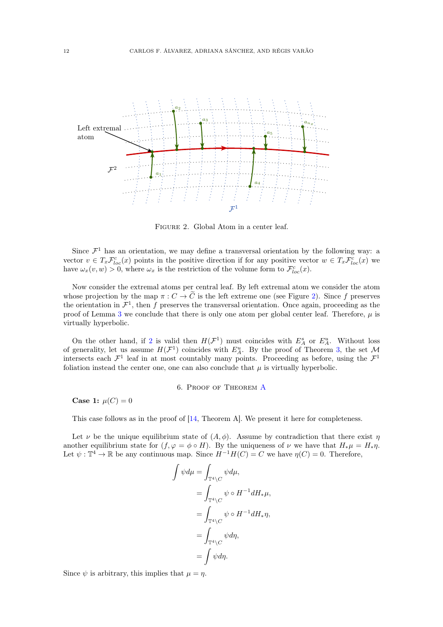<span id="page-11-1"></span>

Figure 2. Global Atom in a center leaf.

Since  $\mathcal{F}^1$  has an orientation, we may define a transversal orientation by the following way: a vector  $v \in T_x \mathcal{F}_{loc}^c(x)$  points in the positive direction if for any positive vector  $w \in T_x \mathcal{F}_{loc}^c(x)$  we have  $\omega_x(v, w) > 0$ , where  $\omega_x$  is the restriction of the volume form to  $\mathcal{F}_{loc}^c(x)$ .

Now consider the extremal atoms per central leaf. By left extremal atom we consider the atom whose projection by the map  $\pi: C \to \tilde{C}$  is the left extreme one (see Figure [2\)](#page-11-1). Since f preserves the orientation in  $\mathcal{F}^1$ , then f preserves the transversal orientation. Once again, proceeding as the proof of Lemma [3](#page-9-0) we conclude that there is only one atom per global center leaf. Therefore,  $\mu$  is virtually hyperbolic.

On the other hand, if [2](#page-5-6) is valid then  $H(\mathcal{F}^1)$  must coincides with  $E_A^s$  or  $E_A^u$ . Without loss of generality, let us assume  $H(\mathcal{F}^1)$  coincides with  $E_A^u$ . By the proof of Theorem [3,](#page-5-3) the set M intersects each  $\mathcal{F}^1$  leaf in at most countably many points. Proceeding as before, using the  $\mathcal{F}^1$ foliation instead the center one, one can also conclude that  $\mu$  is virtually hyperbolic.

6. Proof of Theorem [A](#page-1-3)

<span id="page-11-0"></span>**Case 1:**  $\mu(C) = 0$ 

This case follows as in the proof of [\[14,](#page-14-7) Theorem A]. We present it here for completeness.

Let  $\nu$  be the unique equilibrium state of  $(A, \phi)$ . Assume by contradiction that there exist  $\eta$ another equilibrium state for  $(f, \varphi = \phi \circ H)$ . By the uniqueness of  $\nu$  we have that  $H_*\mu = H_*\eta$ . Let  $\psi : \mathbb{T}^4 \to \mathbb{R}$  be any continuous map. Since  $H^{-1}H(C) = C$  we have  $\eta(C) = 0$ . Therefore,

$$
\int \psi d\mu = \int_{\mathbb{T}^4 \backslash C} \psi d\mu,
$$
  
= 
$$
\int_{\mathbb{T}^4 \backslash C} \psi \circ H^{-1} dH_* \mu,
$$
  
= 
$$
\int_{\mathbb{T}^4 \backslash C} \psi \circ H^{-1} dH_* \eta,
$$
  
= 
$$
\int_{\mathbb{T}^4 \backslash C} \psi d\eta,
$$
  
= 
$$
\int \psi d\eta.
$$

Since  $\psi$  is arbitrary, this implies that  $\mu = \eta$ .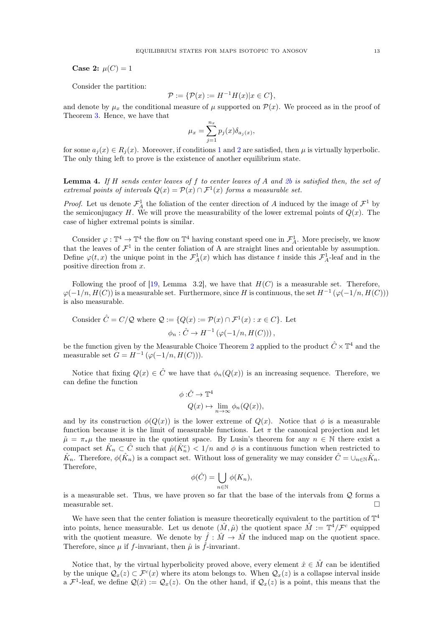**Case 2:**  $\mu(C) = 1$ 

Consider the partition:

$$
\mathcal{P} := \{ \mathcal{P}(x) := H^{-1}H(x) | x \in C \},
$$

and denote by  $\mu_x$  the conditional measure of  $\mu$  supported on  $\mathcal{P}(x)$ . We proceed as in the proof of Theorem [3.](#page-5-3) Hence, we have that

$$
\mu_x = \sum_{j=1}^{n_x} p_j(x) \delta_{a_j(x)},
$$

for some  $a_j(x) \in R_j(x)$ . Moreover, if conditions [1](#page-5-5) and [2](#page-5-6) are satisfied, then  $\mu$  is virtually hyperbolic. The only thing left to prove is the existence of another equilibrium state.

<span id="page-12-0"></span>**Lemma 4.** If H sends center leaves of f to center leaves of A and [2b](#page-5-7) is satisfied then, the set of extremal points of intervals  $Q(x) = P(x) \cap \mathcal{F}^{1}(x)$  forms a measurable set.

*Proof.* Let us denote  $\mathcal{F}^1_A$  the foliation of the center direction of A induced by the image of  $\mathcal{F}^1$  by the semiconjugacy H. We will prove the measurability of the lower extremal points of  $Q(x)$ . The case of higher extremal points is similar.

Consider  $\varphi : \mathbb{T}^4 \to \mathbb{T}^4$  the flow on  $\mathbb{T}^4$  having constant speed one in  $\mathcal{F}^1_A$ . More precisely, we know that the leaves of  $\mathcal{F}^1$  in the center foliation of A are straight lines and orientable by assumption. Define  $\varphi(t,x)$  the unique point in the  $\mathcal{F}_{A}^{1}(x)$  which has distance t inside this  $\mathcal{F}_{A}^{1}$ -leaf and in the positive direction from x.

Following the proof of [\[19,](#page-14-17) Lemma 3.2], we have that  $H(C)$  is a measurable set. Therefore,  $\varphi(-1/n, H(C))$  is a measurable set. Furthermore, since H is continuous, the set  $H^{-1}(\varphi(-1/n, H(C)))$ is also measurable.

Consider 
$$
\hat{C} = C/Q
$$
 where  $Q := \{Q(x) := \mathcal{P}(x) \cap \mathcal{F}^1(x) : x \in C\}$ . Let  

$$
\phi_n : \hat{C} \to H^{-1}(\varphi(-1/n, H(C))),
$$

be the function given by the Measurable Choice Theorem [2](#page-4-1) applied to the product  $\hat{C} \times \mathbb{T}^4$  and the measurable set  $G = H^{-1}(\varphi(-1/n, H(C))).$ 

Notice that fixing  $Q(x) \in \hat{C}$  we have that  $\phi_n(Q(x))$  is an increasing sequence. Therefore, we can define the function

$$
\phi: \hat{C} \to \mathbb{T}^4
$$
  
  $Q(x) \mapsto \lim_{n \to \infty} \phi_n(Q(x)),$ 

and by its construction  $\phi(Q(x))$  is the lower extreme of  $Q(x)$ . Notice that  $\phi$  is a measurable function because it is the limit of measurable functions. Let  $\pi$  the canonical projection and let  $\hat{\mu} = \pi_*\mu$  the measure in the quotient space. By Lusin's theorem for any  $n \in \mathbb{N}$  there exist a compact set  $\hat{K}_n \subset \hat{C}$  such that  $\hat{\mu}(\hat{K}_n^c) < 1/n$  and  $\phi$  is a continuous function when restricted to  $\hat{K}_n$ . Therefore,  $\phi(\hat{K}_n)$  is a compact set. Without loss of generality we may consider  $\hat{C} = \cup_{n \in \mathbb{N}} \hat{K}_n$ . Therefore,

$$
\phi(\hat{C}) = \bigcup_{n \in \mathbb{N}} \phi(K_n),
$$

is a measurable set. Thus, we have proven so far that the base of the intervals from  $Q$  forms a measurable set.  $\Box$ 

We have seen that the center foliation is measure theoretically equivalent to the partition of  $\mathbb{T}^4$ into points, hence measurable. Let us denote  $(\hat{M}, \hat{\mu})$  the quotient space  $\hat{M} := \mathbb{T}^4/\mathcal{F}^c$  equipped with the quotient measure. We denote by  $\hat{f}: \hat{M} \to \hat{M}$  the induced map on the quotient space. Therefore, since  $\mu$  if f-invariant, then  $\hat{\mu}$  is f-invariant.

Notice that, by the virtual hyperbolicity proved above, every element  $\hat{x} \in \hat{M}$  can be identified by the unique  $\mathcal{Q}_x(z) \subset \mathcal{F}^c(x)$  where its atom belongs to. When  $\mathcal{Q}_x(z)$  is a collapse interval inside a  $\mathcal{F}^1$ -leaf, we define  $\mathcal{Q}(\hat{x}) := \mathcal{Q}_x(z)$ . On the other hand, if  $\mathcal{Q}_x(z)$  is a point, this means that the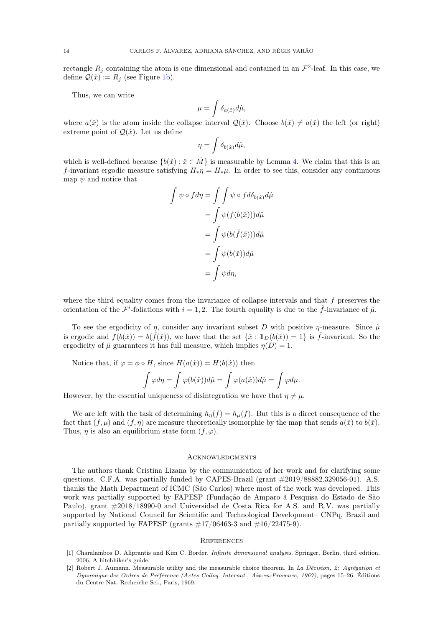rectangle  $R_j$  containing the atom is one dimensional and contained in an  $\mathcal{F}^2$ -leaf. In this case, we define  $\mathcal{Q}(\hat{x}) := R_j$  (see Figure [1b\)](#page-7-0).

Thus, we can write

$$
\mu = \int \delta_{a(\hat{x})} d\hat{\mu},
$$

where  $a(\hat{x})$  is the atom inside the collapse interval  $\mathcal{Q}(\hat{x})$ . Choose  $b(\hat{x}) \neq a(\hat{x})$  the left (or right) extreme point of  $\mathcal{Q}(\hat{x})$ . Let us define

$$
\eta = \int \delta_{b(\hat{x})} d\hat{\mu},
$$

which is well-defined because  $\{b(\hat{x}) : \hat{x} \in \hat{M}\}\$ is measurable by Lemma [4.](#page-12-0) We claim that this is an f-invariant ergodic measure satisfying  $H_*\eta = H_*\mu$ . In order to see this, consider any continuous map  $\psi$  and notice that

$$
\int \psi \circ f d\eta = \int \int \psi \circ f d\delta_{b(\hat{x})} d\hat{\mu}
$$

$$
= \int \psi(f(b(\hat{x}))) d\hat{\mu}
$$

$$
= \int \psi(b(\hat{f}(\hat{x}))) d\hat{\mu}
$$

$$
= \int \psi(b(\hat{x})) d\hat{\mu}
$$

$$
= \int \psi d\eta,
$$

where the third equality comes from the invariance of collapse intervals and that  $f$  preserves the orientation of the  $\mathcal{F}^i$ -foliations with  $i = 1, 2$ . The fourth equality is due to the  $\hat{f}$ -invariance of  $\hat{\mu}$ .

To see the ergodicity of  $\eta$ , consider any invariant subset D with positive  $\eta$ -measure. Since  $\hat{\mu}$ is ergodic and  $f(b(\hat{x})) = b(\hat{f}(\hat{x}))$ , we have that the set  $\{\hat{x} : \mathbb{1}_D(b(\hat{x})) = 1\}$  is  $\hat{f}$ -invariant. So the ergodicity of  $\hat{\mu}$  guarantees it has full measure, which implies  $\eta(D) = 1$ .

Notice that, if  $\varphi = \phi \circ H$ , since  $H(a(\hat{x})) = H(b(\hat{x}))$  then

$$
\int \varphi d\eta = \int \varphi(b(\hat{x})) d\hat{\mu} = \int \varphi(a(\hat{x})) d\hat{\mu} = \int \varphi d\mu.
$$

However, by the essential uniqueness of disintegration we have that  $\eta \neq \mu$ .

We are left with the task of determining  $h_n(f) = h_\mu(f)$ . But this is a direct consequence of the fact that  $(f, \mu)$  and  $(f, \eta)$  are measure theoretically isomorphic by the map that sends  $a(\hat{x})$  to  $b(\hat{x})$ . Thus,  $\eta$  is also an equilibrium state form  $(f, \varphi)$ .

#### <span id="page-13-0"></span>**ACKNOWLEDGMENTS**

The authors thank Cristina Lizana by the communication of her work and for clarifying some questions. C.F.A. was partially funded by CAPES-Brazil (grant  $\#2019/88882.329056-01$ ). A.S. thanks the Math Department of ICMC (São Carlos) where most of the work was developed. This work was partially supported by FAPESP (Fundação de Amparo à Pesquisa do Estado de São Paulo), grant #2018/18990-0 and Universidad de Costa Rica for A.S. and R.V. was partially supported by National Council for Scientific and Technological Development– CNPq, Brazil and partially supported by FAPESP (grants  $\#17/06463-3$  and  $\#16/22475-9$ ).

# <span id="page-13-1"></span>**REFERENCES**

- <span id="page-13-3"></span>[1] Charalambos D. Aliprantis and Kim C. Border. Infinite dimensional analysis. Springer, Berlin, third edition, 2006. A hitchhiker's guide.
- <span id="page-13-2"></span>[2] Robert J. Aumann. Measurable utility and the measurable choice theorem. In La Décision, 2: Agrégation et Dynamique des Ordres de Préférence (Actes Colloq. Internat., Aix-en-Provence, 1967), pages 15–26. Éditions du Centre Nat. Recherche Sci., Paris, 1969.